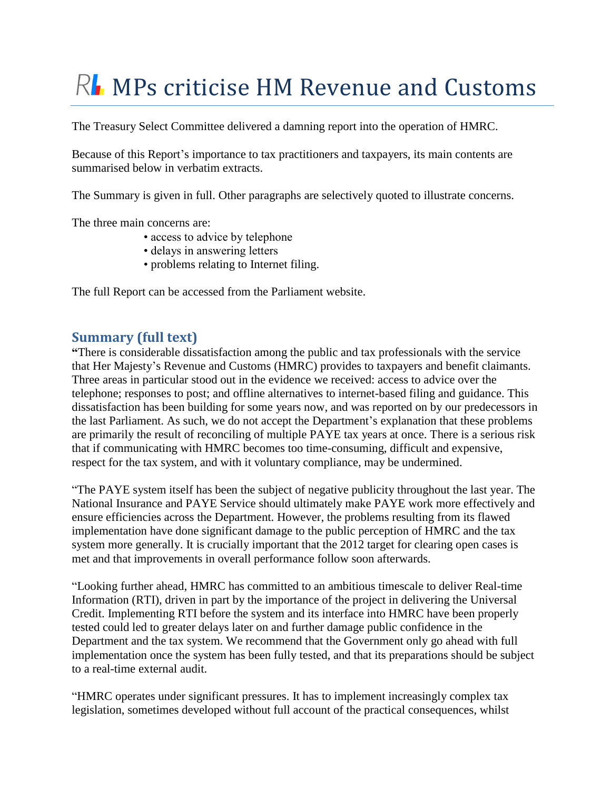# $R<sub>1</sub>$  MPs criticise HM Revenue and Customs

The Treasury Select Committee delivered a damning report into the operation of HMRC.

Because of this Report's importance to tax practitioners and taxpayers, its main contents are summarised below in verbatim extracts.

The Summary is given in full. Other paragraphs are selectively quoted to illustrate concerns.

The three main concerns are:

- access to advice by telephone
- delays in answering letters
- problems relating to Internet filing.

The full Report can be accessed from the Parliament website.

## **Summary (full text)**

**"**There is considerable dissatisfaction among the public and tax professionals with the service that Her Majesty"s Revenue and Customs (HMRC) provides to taxpayers and benefit claimants. Three areas in particular stood out in the evidence we received: access to advice over the telephone; responses to post; and offline alternatives to internet-based filing and guidance. This dissatisfaction has been building for some years now, and was reported on by our predecessors in the last Parliament. As such, we do not accept the Department"s explanation that these problems are primarily the result of reconciling of multiple PAYE tax years at once. There is a serious risk that if communicating with HMRC becomes too time-consuming, difficult and expensive, respect for the tax system, and with it voluntary compliance, may be undermined.

"The PAYE system itself has been the subject of negative publicity throughout the last year. The National Insurance and PAYE Service should ultimately make PAYE work more effectively and ensure efficiencies across the Department. However, the problems resulting from its flawed implementation have done significant damage to the public perception of HMRC and the tax system more generally. It is crucially important that the 2012 target for clearing open cases is met and that improvements in overall performance follow soon afterwards.

"Looking further ahead, HMRC has committed to an ambitious timescale to deliver Real-time Information (RTI), driven in part by the importance of the project in delivering the Universal [Credit.](http://www.publications.parliament.uk/pa/cm201012/cmselect/cmtreasy/731/73103.htm) Implementing RTI before the system and its interface into HMRC have been properly tested could led to greater delays later on and further damage public confidence in the Department and the tax system. We recommend that the Government only go ahead with full implementation once the system has been fully tested, and that its preparations should be subject to a real-time external audit.

"HMRC operates under significant pressures. It has to implement increasingly complex tax legislation, sometimes developed without full account of the practical consequences, whilst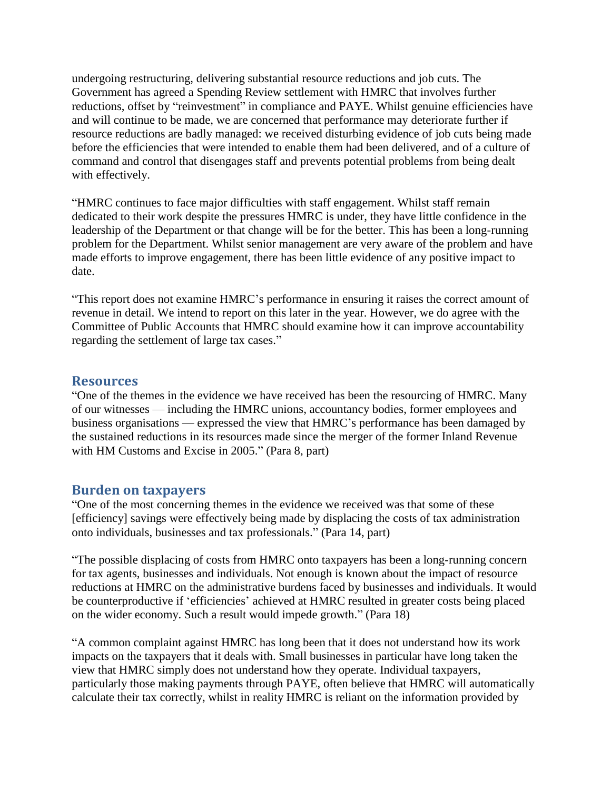undergoing restructuring, delivering substantial resource reductions and job cuts. The Government has agreed a Spending Review settlement with HMRC that involves further reductions, offset by "reinvestment" in compliance and PAYE. Whilst genuine efficiencies have and will continue to be made, we are concerned that performance may deteriorate further if resource reductions are badly managed: we received disturbing evidence of job cuts being made before the efficiencies that were intended to enable them had been delivered, and of a culture of command and control that disengages staff and prevents potential problems from being dealt with effectively.

"HMRC continues to face major difficulties with staff engagement. Whilst staff remain dedicated to their work despite the pressures HMRC is under, they have little confidence in the leadership of the Department or that change will be for the better. This has been a long-running problem for the Department. Whilst senior management are very aware of the problem and have made efforts to improve engagement, there has been little evidence of any positive impact to date.

"This report does not examine HMRC"s performance in ensuring it raises the correct amount of revenue in detail. We intend to report on this later in the year. However, we do agree with the Committee of Public Accounts that HMRC should examine how it can improve accountability regarding the settlement of large tax cases."

#### **Resources**

"One of the themes in the evidence we have received has been the resourcing of HMRC. Many of our witnesses — including the HMRC unions, accountancy bodies, former employees and business organisations — expressed the view that HMRC"s performance has been damaged by the sustained reductions in its resources made since the merger of the former Inland Revenue with HM Customs and Excise in 2005." (Para 8, part)

#### **Burden on taxpayers**

"One of the most concerning themes in the evidence we received was that some of these [efficiency] savings were effectively being made by displacing the costs of tax administration onto individuals, businesses and tax professionals." (Para 14, part)

"The possible displacing of costs from HMRC onto taxpayers has been a long-running concern for tax agents, businesses and individuals. Not enough is known about the impact of resource reductions at HMRC on the administrative burdens faced by businesses and individuals. It would be counterproductive if 'efficiencies' achieved at HMRC resulted in greater costs being placed on the wider economy. Such a result would impede growth." (Para 18)

"A common complaint against HMRC has long been that it does not understand how its work impacts on the taxpayers that it deals with. Small businesses in particular have long taken the view that HMRC simply does not understand how they operate. Individual taxpayers, particularly those making payments through PAYE, often believe that HMRC will automatically calculate their tax correctly, whilst in reality HMRC is reliant on the information provided by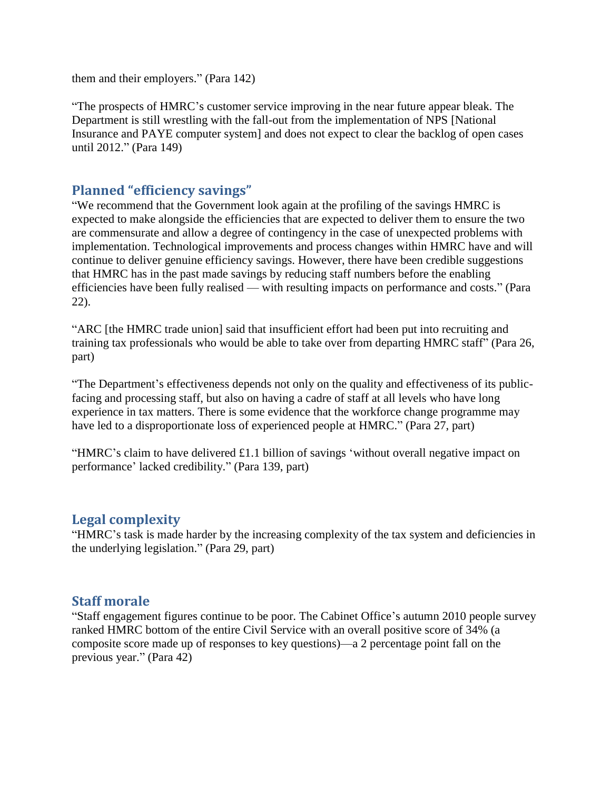them and their employers." (Para 142)

"The prospects of HMRC"s customer service improving in the near future appear bleak. The Department is still wrestling with the fall-out from the implementation of NPS [National Insurance and PAYE computer system] and does not expect to clear the backlog of open cases until 2012." (Para 149)

# **Planned "efficiency savings"**

"We recommend that the Government look again at the profiling of the savings HMRC is expected to make alongside the efficiencies that are expected to deliver them to ensure the two are commensurate and allow a degree of contingency in the case of unexpected problems with implementation. Technological improvements and process changes within HMRC have and will continue to deliver genuine efficiency savings. However, there have been credible suggestions that HMRC has in the past made savings by reducing staff numbers before the enabling efficiencies have been fully realised — with resulting impacts on performance and costs." (Para 22).

"ARC [the HMRC trade union] said that insufficient effort had been put into recruiting and training tax professionals who would be able to take over from departing HMRC staff" (Para 26, part)

"The Department's effectiveness depends not only on the quality and effectiveness of its publicfacing and processing staff, but also on having a cadre of staff at all levels who have long experience in tax matters. There is some evidence that the workforce change programme may have led to a disproportionate loss of experienced people at HMRC." (Para 27, part)

"HMRC"s claim to have delivered £1.1 billion of savings "without overall negative impact on performance" lacked credibility." (Para 139, part)

## **Legal complexity**

"HMRC"s task is made harder by the increasing complexity of the tax system and deficiencies in the underlying legislation." (Para 29, part)

## **Staff morale**

"Staff engagement figures continue to be poor. The Cabinet Office"s autumn 2010 people [survey](http://www.publications.parliament.uk/pa/cm201012/cmselect/cmtreasy/731/73106.htm) ranked HMRC bottom of the entire Civil Service with an overall positive score of 34% (a composite score made up of responses to key questions)—a 2 percentage point fall on the previous year." (Para 42)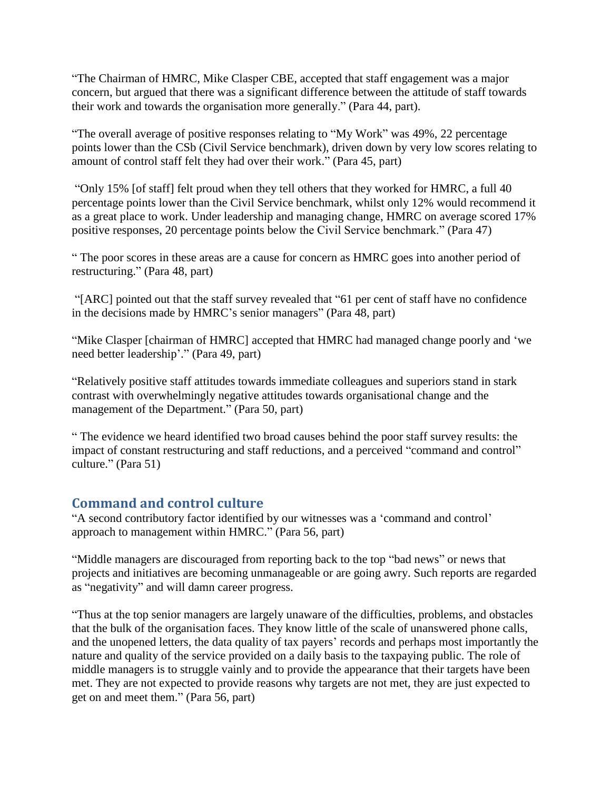"The Chairman of HMRC, Mike Clasper CBE, accepted that staff engagement was a major concern, but argued that there was a significant difference between the attitude of staff towards their work and towards the organisation more generally." (Para 44, part).

"The overall average of positive responses relating to "My Work" was 49%, 22 percentage points lower than the CSb (Civil Service benchmark), driven down by very low scores relating to amount of control staff felt they had over their work." (Para 45, part)

"Only 15% [of staff] felt proud when they tell others that they worked for HMRC, a full 40 percentage points lower than the Civil Service benchmark, whilst only 12% would recommend it as a great place to work. Under leadership and managing change, HMRC on average scored 17% positive responses, 20 percentage points below the Civil Service benchmark." (Para 47)

" The poor scores in these areas are a cause for concern as HMRC goes into another period of restructuring." (Para 48, part)

"[ARC] pointed out that the staff survey revealed that "61 per cent of staff have no confidence in the decisions made by HMRC"s senior managers" (Para 48, part)

"Mike Clasper [chairman of HMRC] accepted that HMRC had managed change poorly and "we need better leadership"." (Para 49, part)

"Relatively positive staff attitudes towards immediate colleagues and superiors stand in stark contrast with overwhelmingly negative attitudes towards organisational change and the management of the Department." (Para 50, part)

" The evidence we heard identified two broad causes behind the poor staff survey results: the impact of constant restructuring and staff reductions, and a perceived "command and control" culture." (Para 51)

# **Command and control culture**

"A second contributory factor identified by our witnesses was a "command and control" approach to management within HMRC." (Para 56, part)

"Middle managers are discouraged from reporting back to the top "bad news" or news that projects and initiatives are becoming unmanageable or are going awry. Such reports are regarded as "negativity" and will damn career progress.

"Thus at the top senior managers are largely unaware of the difficulties, problems, and obstacles that the bulk of the organisation faces. They know little of the scale of unanswered phone calls, and the unopened letters, the data quality of tax payers' records and perhaps most importantly the nature and quality of the service provided on a daily basis to the taxpaying public. The role of middle managers is to struggle vainly and to provide the appearance that their targets have been met. They are not expected to provide reasons why targets are not met, they are just expected to get on and meet them." (Para 56, part)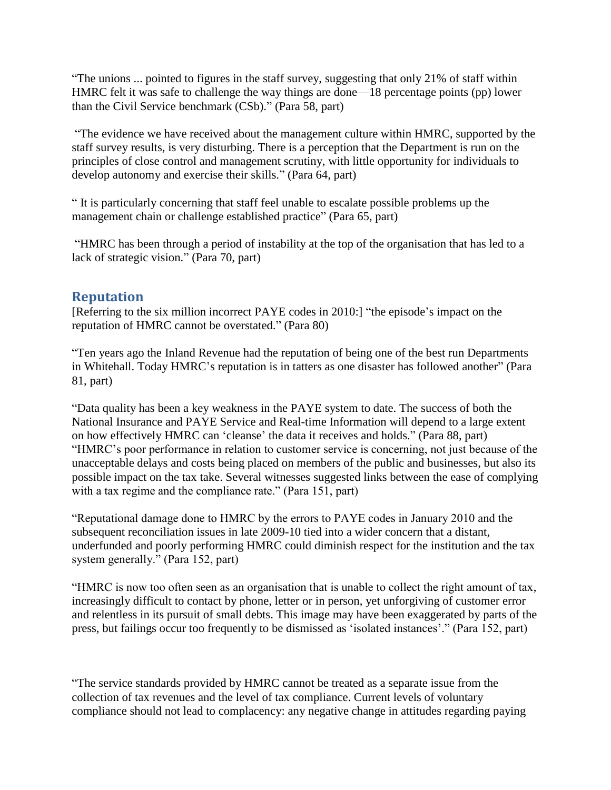"The unions ... pointed to figures in the staff survey, suggesting that only 21% of staff within HMRC felt it was safe to challenge the way things are done—18 percentage points (pp) lower than the Civil Service benchmark (CSb)." (Para 58, part)

"The evidence we have received about the management culture within HMRC, supported by the staff survey results, is very disturbing. There is a perception that the Department is run on the principles of close control and management scrutiny, with little opportunity for individuals to develop autonomy and exercise their skills." (Para 64, part)

" It is particularly concerning that staff feel unable to escalate possible problems up the management chain or challenge established practice" (Para 65, part)

"HMRC has been through a period of instability at the top of the organisation that has led to a lack of strategic vision." (Para 70, part)

# **Reputation**

[Referring to the six million incorrect PAYE codes in 2010:] "the episode"s impact on the reputation of HMRC cannot be overstated." (Para 80)

"Ten years ago the Inland Revenue had the reputation of being one of the best run Departments in Whitehall. Today HMRC"s reputation is in tatters as one disaster has followed another" (Para 81, part)

"Data quality has been a key weakness in the PAYE system to date. The success of both the National Insurance and PAYE Service and Real-time Information will depend to a large extent on how effectively HMRC can "cleanse" the data it receives and holds." (Para 88, part) "HMRC"s poor performance in relation to customer service is concerning, not just because of the unacceptable delays and costs being placed on members of the public and businesses, but also its possible impact on the tax take. Several witnesses suggested links between the ease of complying with a tax regime and the compliance rate." (Para 151, part)

"Reputational damage done to HMRC by the errors to PAYE codes in January 2010 and the subsequent reconciliation issues in late 2009-10 tied into a wider concern that a distant, underfunded and poorly performing HMRC could diminish respect for the institution and the tax system generally." (Para 152, part)

"HMRC is now too often seen as an organisation that is unable to collect the right amount of tax, increasingly difficult to contact by phone, letter or in person, yet unforgiving of customer error and relentless in its pursuit of small debts. This image may have been exaggerated by parts of the press, but failings occur too frequently to be dismissed as "isolated instances"." (Para 152, part)

"The service standards provided by HMRC cannot be treated as a separate issue from the collection of tax revenues and the level of tax compliance. Current levels of voluntary compliance should not lead to complacency: any negative change in attitudes regarding paying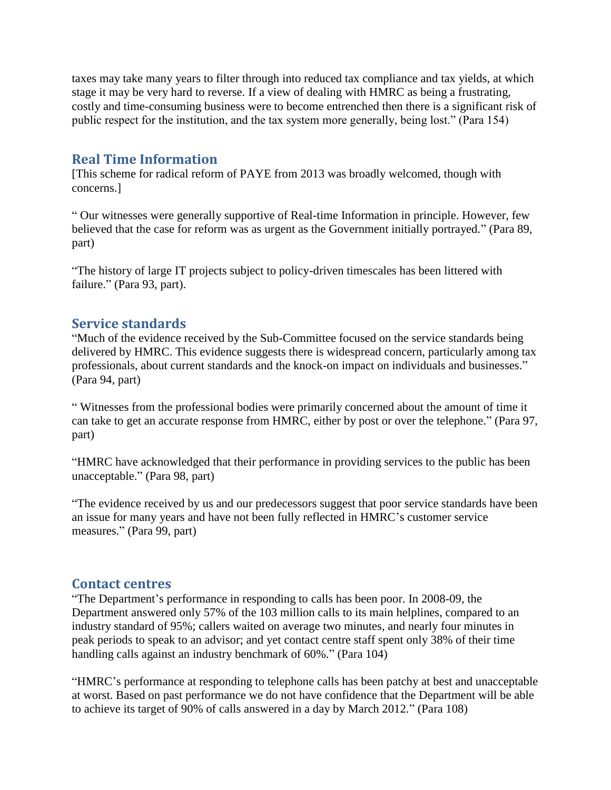taxes may take many years to filter through into reduced tax compliance and tax yields, at which stage it may be very hard to reverse. If a view of dealing with HMRC as being a frustrating, costly and time-consuming business were to become entrenched then there is a significant risk of public respect for the institution, and the tax system more generally, being lost." (Para 154)

# **Real Time Information**

[This scheme for radical reform of PAYE from 2013 was broadly welcomed, though with concerns.]

" Our witnesses were generally supportive of Real-time Information in principle. However, few believed that the case for reform was as urgent as the Government initially portrayed." (Para 89, part)

"The history of large IT projects subject to policy-driven timescales has been littered with failure." (Para 93, part).

## **Service standards**

"Much of the evidence received by the Sub-Committee focused on the service standards being delivered by HMRC. This evidence suggests there is widespread concern, particularly among tax professionals, about current standards and the knock-on impact on individuals and businesses." (Para 94, part)

" Witnesses from the professional bodies were primarily concerned about the amount of time it can take to get an accurate response from HMRC, either by post or over the telephone." (Para 97, part)

"HMRC have acknowledged that their performance in providing services to the public has been unacceptable." (Para 98, part)

"The evidence received by us and our predecessors suggest that poor service standards have been an issue for many years and have not been fully reflected in HMRC"s customer service measures." (Para 99, part)

## **Contact centres**

"The Department's performance in responding to calls has been poor. In 2008-09, the Department answered only 57% of the 103 million calls to its main helplines, compared to an industry standard of 95%; callers waited on average two minutes, and nearly four minutes in peak periods to speak to an advisor; and yet contact centre staff spent only 38% of their time handling calls against an industry benchmark of 60%." (Para 104)

"HMRC"s performance at responding to telephone calls has been patchy at best and unacceptable at worst. Based on past performance we do not have confidence that the Department will be able to achieve its target of 90% of calls answered in a day by March 2012." (Para 108)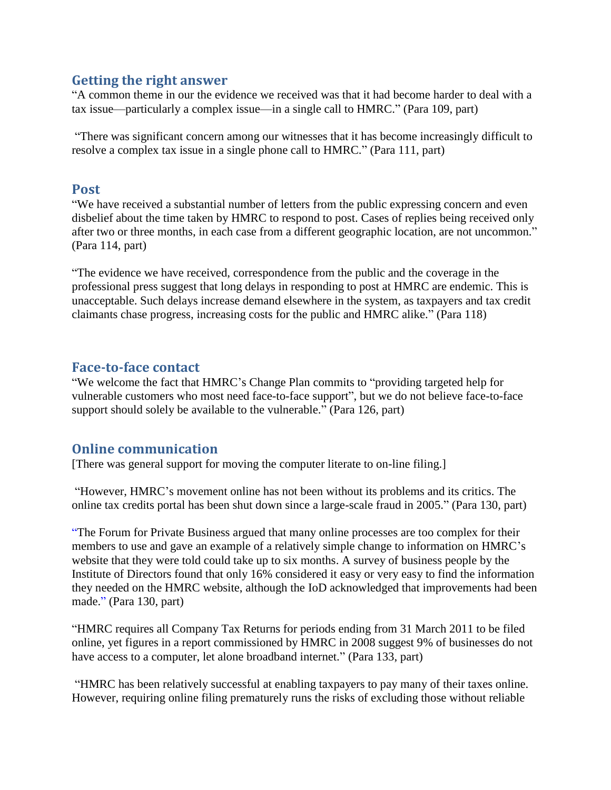## **Getting the right answer**

"A common theme in our the evidence we received was that it had become harder to deal with a tax issue—particularly a complex issue—in a single call to HMRC." (Para 109, part)

"There was significant concern among our witnesses that it has become increasingly difficult to resolve a complex tax issue in a single phone call to HMRC." (Para 111, part)

#### **Post**

"We have received a substantial number of letters from the public expressing concern and even disbelief about the time taken by HMRC to respond to post. Cases of replies being received only after two or three months, in each case from a different geographic location, are not uncommon." (Para 114, part)

"The evidence we have received, correspondence from the public and the coverage in the professional press suggest that long delays in responding to post at HMRC are endemic. This is unacceptable. Such delays increase demand elsewhere in the system, as taxpayers and tax credit claimants chase progress, increasing costs for the public and HMRC alike." (Para 118)

#### **Face-to-face contact**

"We welcome the fact that HMRC"s Change Plan commits to "providing targeted help for vulnerable customers who most need face-to-face support", but we do not believe face-to-face support should solely be available to the vulnerable." (Para 126, part)

## **Online communication**

[There was general support for moving the computer literate to on-line filing.]

"However, HMRC"s movement online has not been without its problems and its critics. The online tax credits portal has been shut down since a large-scale fraud in 2005." (Para 130, part)

"The Forum for Private Business argued that many online processes are too complex for their members to use and gave an example of a relatively simple change to information on HMRC"s website that they were told could take up to six months. A survey of business people by the Institute of Directors found that only 16% considered it easy or very easy to find the information they needed on the HMRC website, although the IoD acknowledged that improvements had been made." (Para 130, part)

"HMRC requires all Company Tax Returns for periods ending from 31 March 2011 to be filed online, yet figures in a report commissioned by HMRC in 2008 suggest 9% of businesses do not have access to a computer, let alone broadband internet." (Para 133, part)

"HMRC has been relatively successful at enabling taxpayers to pay many of their taxes online. However, requiring online filing prematurely runs the risks of excluding those without reliable